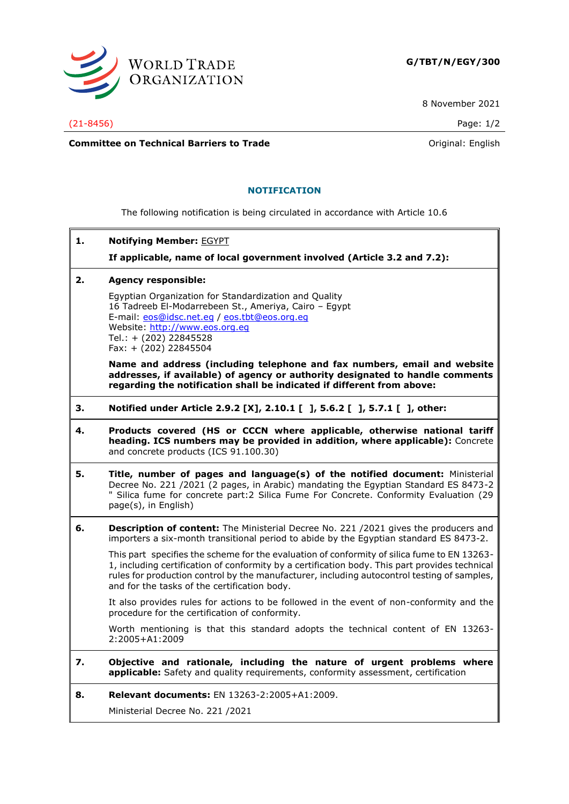

8 November 2021

(21-8456) Page: 1/2

**Committee on Technical Barriers to Trade Committee on Technical Barriers to Trade Original:** English

## **NOTIFICATION**

The following notification is being circulated in accordance with Article 10.6

**1. Notifying Member:** EGYPT

**If applicable, name of local government involved (Article 3.2 and 7.2):**

**2. Agency responsible:**

Egyptian Organization for Standardization and Quality 16 Tadreeb El-Modarrebeen St., Ameriya, Cairo – Egypt E-mail: [eos@idsc.net.eg](mailto:eos@idsc.net.eg) / [eos.tbt@eos.org.eg](mailto:eos.tbt@eos.org.eg) Website: [http://www.eos.org.eg](http://www.eos.org.eg/) Tel.: + (202) 22845528 Fax: + (202) 22845504

**Name and address (including telephone and fax numbers, email and website addresses, if available) of agency or authority designated to handle comments regarding the notification shall be indicated if different from above:**

- **3. Notified under Article 2.9.2 [X], 2.10.1 [ ], 5.6.2 [ ], 5.7.1 [ ], other:**
- **4. Products covered (HS or CCCN where applicable, otherwise national tariff heading. ICS numbers may be provided in addition, where applicable):** Concrete and concrete products (ICS 91.100.30)
- **5. Title, number of pages and language(s) of the notified document:** Ministerial Decree No. 221 /2021 (2 pages, in Arabic) mandating the Egyptian Standard ES 8473-2 " Silica fume for concrete part:2 Silica Fume For Concrete. Conformity Evaluation (29 page(s), in English)
- **6. Description of content:** The Ministerial Decree No. 221 /2021 gives the producers and importers a six-month transitional period to abide by the Egyptian standard ES 8473-2.

This part specifies the scheme for the evaluation of conformity of silica fume to EN 13263- 1, including certification of conformity by a certification body. This part provides technical rules for production control by the manufacturer, including autocontrol testing of samples, and for the tasks of the certification body.

It also provides rules for actions to be followed in the event of non-conformity and the procedure for the certification of conformity.

Worth mentioning is that this standard adopts the technical content of EN 13263- 2:2005+A1:2009

- **7. Objective and rationale, including the nature of urgent problems where applicable:** Safety and quality requirements, conformity assessment, certification
- **8. Relevant documents:** EN 13263-2:2005+A1:2009.

Ministerial Decree No. 221 /2021